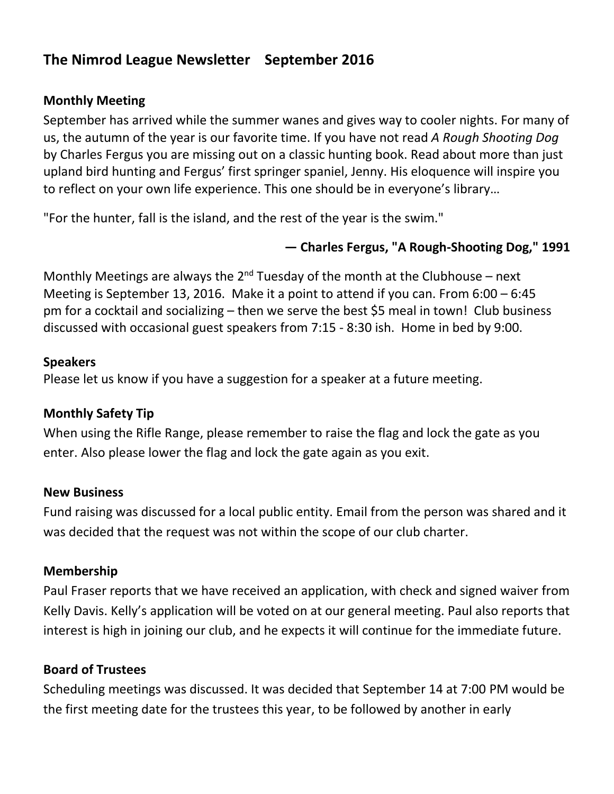# **The Nimrod League Newsletter September 2016**

### **Monthly Meeting**

September has arrived while the summer wanes and gives way to cooler nights. For many of us, the autumn of the year is our favorite time. If you have not read *A Rough Shooting Dog* by Charles Fergus you are missing out on a classic hunting book. Read about more than just upland bird hunting and Fergus' first springer spaniel, Jenny. His eloquence will inspire you to reflect on your own life experience. This one should be in everyone's library…

"For the hunter, fall is the island, and the rest of the year is the swim."

# **— Charles Fergus, "A Rough-Shooting Dog," 1991**

Monthly Meetings are always the  $2^{nd}$  Tuesday of the month at the Clubhouse – next Meeting is September 13, 2016. Make it a point to attend if you can. From 6:00 – 6:45 pm for a cocktail and socializing – then we serve the best \$5 meal in town! Club business discussed with occasional guest speakers from 7:15 - 8:30 ish. Home in bed by 9:00.

### **Speakers**

Please let us know if you have a suggestion for a speaker at a future meeting.

### **Monthly Safety Tip**

When using the Rifle Range, please remember to raise the flag and lock the gate as you enter. Also please lower the flag and lock the gate again as you exit.

### **New Business**

Fund raising was discussed for a local public entity. Email from the person was shared and it was decided that the request was not within the scope of our club charter.

### **Membership**

Paul Fraser reports that we have received an application, with check and signed waiver from Kelly Davis. Kelly's application will be voted on at our general meeting. Paul also reports that interest is high in joining our club, and he expects it will continue for the immediate future.

# **Board of Trustees**

Scheduling meetings was discussed. It was decided that September 14 at 7:00 PM would be the first meeting date for the trustees this year, to be followed by another in early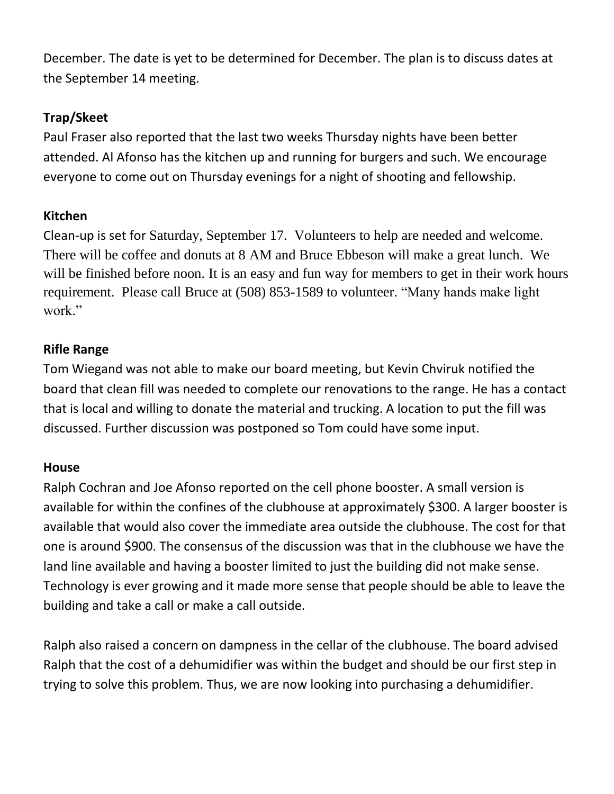December. The date is yet to be determined for December. The plan is to discuss dates at the September 14 meeting.

# **Trap/Skeet**

Paul Fraser also reported that the last two weeks Thursday nights have been better attended. Al Afonso has the kitchen up and running for burgers and such. We encourage everyone to come out on Thursday evenings for a night of shooting and fellowship.

# **Kitchen**

Clean-up is set for Saturday, September 17. Volunteers to help are needed and welcome. There will be coffee and donuts at 8 AM and Bruce Ebbeson will make a great lunch. We will be finished before noon. It is an easy and fun way for members to get in their work hours requirement. Please call Bruce at (508) 853-1589 to volunteer. "Many hands make light work."

# **Rifle Range**

Tom Wiegand was not able to make our board meeting, but Kevin Chviruk notified the board that clean fill was needed to complete our renovations to the range. He has a contact that is local and willing to donate the material and trucking. A location to put the fill was discussed. Further discussion was postponed so Tom could have some input.

# **House**

Ralph Cochran and Joe Afonso reported on the cell phone booster. A small version is available for within the confines of the clubhouse at approximately \$300. A larger booster is available that would also cover the immediate area outside the clubhouse. The cost for that one is around \$900. The consensus of the discussion was that in the clubhouse we have the land line available and having a booster limited to just the building did not make sense. Technology is ever growing and it made more sense that people should be able to leave the building and take a call or make a call outside.

Ralph also raised a concern on dampness in the cellar of the clubhouse. The board advised Ralph that the cost of a dehumidifier was within the budget and should be our first step in trying to solve this problem. Thus, we are now looking into purchasing a dehumidifier.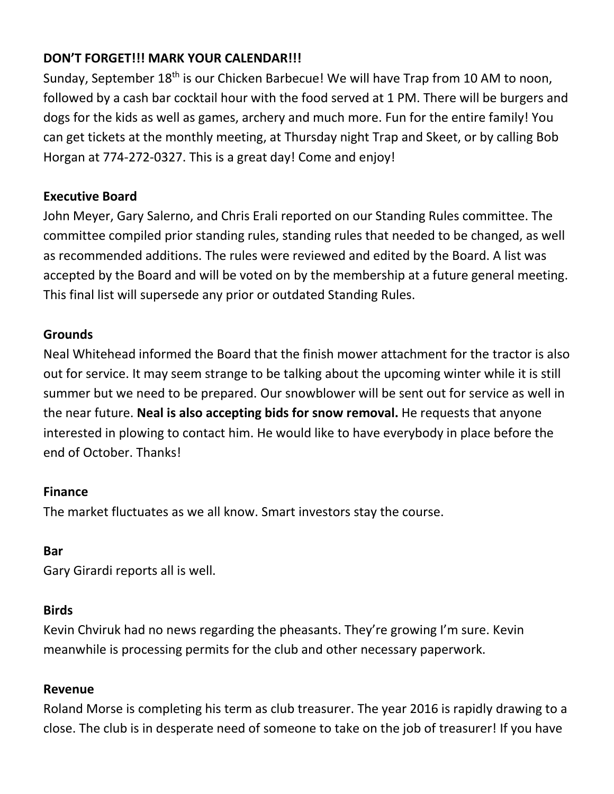# **DON'T FORGET!!! MARK YOUR CALENDAR!!!**

Sunday, September 18<sup>th</sup> is our Chicken Barbecue! We will have Trap from 10 AM to noon, followed by a cash bar cocktail hour with the food served at 1 PM. There will be burgers and dogs for the kids as well as games, archery and much more. Fun for the entire family! You can get tickets at the monthly meeting, at Thursday night Trap and Skeet, or by calling Bob Horgan at 774-272-0327. This is a great day! Come and enjoy!

### **Executive Board**

John Meyer, Gary Salerno, and Chris Erali reported on our Standing Rules committee. The committee compiled prior standing rules, standing rules that needed to be changed, as well as recommended additions. The rules were reviewed and edited by the Board. A list was accepted by the Board and will be voted on by the membership at a future general meeting. This final list will supersede any prior or outdated Standing Rules.

### **Grounds**

Neal Whitehead informed the Board that the finish mower attachment for the tractor is also out for service. It may seem strange to be talking about the upcoming winter while it is still summer but we need to be prepared. Our snowblower will be sent out for service as well in the near future. **Neal is also accepting bids for snow removal.** He requests that anyone interested in plowing to contact him. He would like to have everybody in place before the end of October. Thanks!

### **Finance**

The market fluctuates as we all know. Smart investors stay the course.

### **Bar**

Gary Girardi reports all is well.

### **Birds**

Kevin Chviruk had no news regarding the pheasants. They're growing I'm sure. Kevin meanwhile is processing permits for the club and other necessary paperwork.

# **Revenue**

Roland Morse is completing his term as club treasurer. The year 2016 is rapidly drawing to a close. The club is in desperate need of someone to take on the job of treasurer! If you have